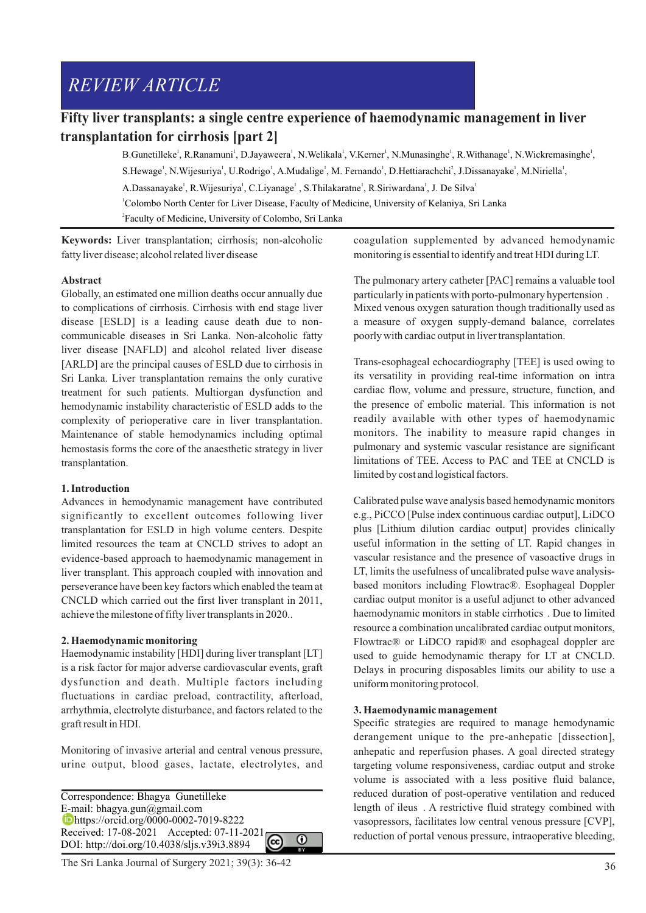# *REVIEW ARTICLE*

## **Fifty liver transplants: a single centre experience of haemodynamic management in liver transplantation for cirrhosis [part 2]**

B.Gunetilleke<sup>1</sup>, R.Ranamuni<sup>1</sup>, D.Jayaweera<sup>1</sup>, N.Welikala<sup>1</sup>, V.Kerner<sup>1</sup>, N.Munasinghe<sup>1</sup>, R.Withanage<sup>1</sup>, N.Wickremasinghe<sup>1</sup>, S.Hewage<sup>1</sup>, N.Wijesuriya<sup>1</sup>, U.Rodrigo<sup>1</sup>, A.Mudalige<sup>1</sup>, M. Fernando<sup>1</sup>, D.Hettiarachchi<sup>2</sup>, J.Dissanayake<sup>1</sup>, M.Niriella<sup>1</sup>, A.Dassanayake<sup>1</sup>, R.Wijesuriya<sup>1</sup>, C.Liyanage<sup>1</sup>, S.Thilakaratne<sup>1</sup>, R.Siriwardana<sup>1</sup>, J. De Silya<sup>1</sup> <sup>1</sup>Colombo North Center for Liver Disease, Faculty of Medicine, University of Kelaniya, Sri Lanka 2 Faculty of Medicine, University of Colombo, Sri Lanka

**Keywords:** Liver transplantation; cirrhosis; non-alcoholic fatty liver disease; alcohol related liver disease

#### **Abstract**

Globally, an estimated one million deaths occur annually due to complications of cirrhosis. Cirrhosis with end stage liver disease [ESLD] is a leading cause death due to noncommunicable diseases in Sri Lanka. Non-alcoholic fatty liver disease [NAFLD] and alcohol related liver disease [ARLD] are the principal causes of ESLD due to cirrhosis in Sri Lanka. Liver transplantation remains the only curative treatment for such patients. Multiorgan dysfunction and hemodynamic instability characteristic of ESLD adds to the complexity of perioperative care in liver transplantation. Maintenance of stable hemodynamics including optimal hemostasis forms the core of the anaesthetic strategy in liver transplantation.

#### **1. Introduction**

Advances in hemodynamic management have contributed significantly to excellent outcomes following liver transplantation for ESLD in high volume centers. Despite limited resources the team at CNCLD strives to adopt an evidence-based approach to haemodynamic management in liver transplant. This approach coupled with innovation and perseverance have been key factors which enabled the team at CNCLD which carried out the first liver transplant in 2011, achieve the milestone of fifty liver transplants in 2020..

## **2. Haemodynamic monitoring**

Haemodynamic instability [HDI] during liver transplant [LT] is a risk factor for major adverse cardiovascular events, graft dysfunction and death. Multiple factors including fluctuations in cardiac preload, contractility, afterload, arrhythmia, electrolyte disturbance, and factors related to the graft result in HDI.

Monitoring of invasive arterial and central venous pressure, urine output, blood gases, lactate, electrolytes, and

Correspondence: Bhagya Gunetilleke E-mail: bhagya.gun@gmail.com https://orcid.org/0000-0002-7019-8222 Unittps://orcia.org/volume-olders.com/<br>Received: 17-08-2021 Accepted: 07-11-2021  $\Omega$ DOI: http://doi.org/10.4038/sljs.v39i3.8894

coagulation supplemented by advanced hemodynamic monitoring is essential to identify and treat HDI during LT.

The pulmonary artery catheter [PAC] remains a valuable tool particularly in patients with porto-pulmonary hypertension . Mixed venous oxygen saturation though traditionally used as a measure of oxygen supply-demand balance, correlates poorly with cardiac output in liver transplantation.

Trans-esophageal echocardiography [TEE] is used owing to its versatility in providing real-time information on intra cardiac flow, volume and pressure, structure, function, and the presence of embolic material. This information is not readily available with other types of haemodynamic monitors. The inability to measure rapid changes in pulmonary and systemic vascular resistance are significant limitations of TEE. Access to PAC and TEE at CNCLD is limited by cost and logistical factors.

Calibrated pulse wave analysis based hemodynamic monitors e.g., PiCCO [Pulse index continuous cardiac output], LiDCO plus [Lithium dilution cardiac output] provides clinically useful information in the setting of LT. Rapid changes in vascular resistance and the presence of vasoactive drugs in LT, limits the usefulness of uncalibrated pulse wave analysisbased monitors including Flowtrac®. Esophageal Doppler cardiac output monitor is a useful adjunct to other advanced haemodynamic monitors in stable cirrhotics . Due to limited resource a combination uncalibrated cardiac output monitors, Flowtrac® or LiDCO rapid® and esophageal doppler are used to guide hemodynamic therapy for LT at CNCLD. Delays in procuring disposables limits our ability to use a uniform monitoring protocol.

## **3. Haemodynamic management**

Specific strategies are required to manage hemodynamic derangement unique to the pre-anhepatic [dissection], anhepatic and reperfusion phases. A goal directed strategy targeting volume responsiveness, cardiac output and stroke volume is associated with a less positive fluid balance, reduced duration of post-operative ventilation and reduced length of ileus . A restrictive fluid strategy combined with vasopressors, facilitates low central venous pressure [CVP], reduction of portal venous pressure, intraoperative bleeding,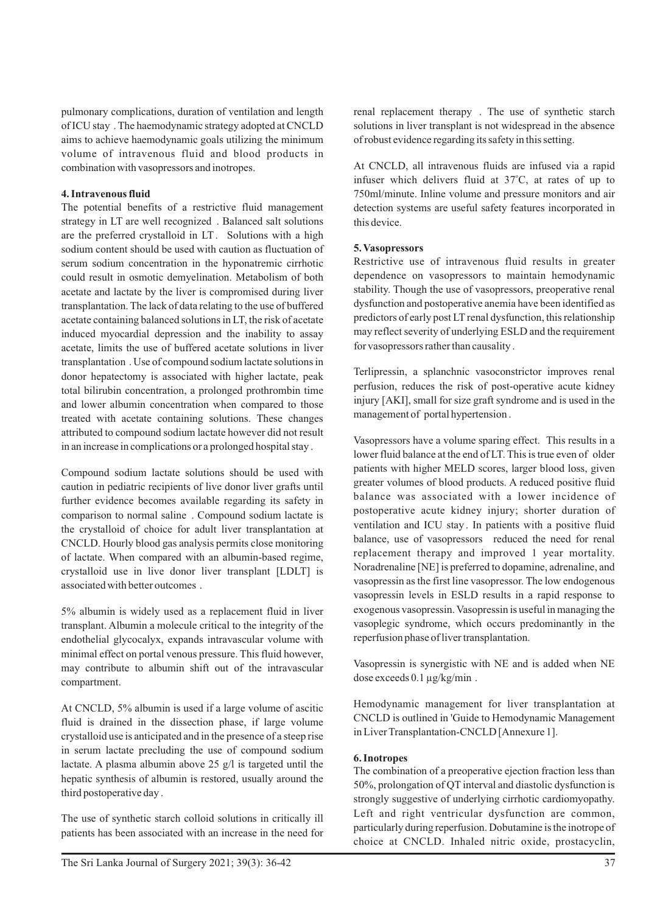pulmonary complications, duration of ventilation and length of ICU stay . The haemodynamic strategy adopted at CNCLD aims to achieve haemodynamic goals utilizing the minimum volume of intravenous fluid and blood products in combination with vasopressors and inotropes.

#### **4. Intravenous fluid**

The potential benefits of a restrictive fluid management strategy in LT are well recognized . Balanced salt solutions are the preferred crystalloid in LT. Solutions with a high sodium content should be used with caution as fluctuation of serum sodium concentration in the hyponatremic cirrhotic could result in osmotic demyelination. Metabolism of both acetate and lactate by the liver is compromised during liver transplantation. The lack of data relating to the use of buffered acetate containing balanced solutions in LT, the risk of acetate induced myocardial depression and the inability to assay acetate, limits the use of buffered acetate solutions in liver transplantation . Use of compound sodium lactate solutions in donor hepatectomy is associated with higher lactate, peak total bilirubin concentration, a prolonged prothrombin time and lower albumin concentration when compared to those treated with acetate containing solutions. These changes attributed to compound sodium lactate however did not result in an increase in complications or a prolonged hospital stay .

Compound sodium lactate solutions should be used with caution in pediatric recipients of live donor liver grafts until further evidence becomes available regarding its safety in comparison to normal saline . Compound sodium lactate is the crystalloid of choice for adult liver transplantation at CNCLD. Hourly blood gas analysis permits close monitoring of lactate. When compared with an albumin-based regime, crystalloid use in live donor liver transplant [LDLT] is associated with better outcomes .

5% albumin is widely used as a replacement fluid in liver transplant. Albumin a molecule critical to the integrity of the endothelial glycocalyx, expands intravascular volume with minimal effect on portal venous pressure. This fluid however, may contribute to albumin shift out of the intravascular compartment.

At CNCLD, 5% albumin is used if a large volume of ascitic fluid is drained in the dissection phase, if large volume crystalloid use is anticipated and in the presence of a steep rise in serum lactate precluding the use of compound sodium lactate. A plasma albumin above 25 g/l is targeted until the hepatic synthesis of albumin is restored, usually around the third postoperative day .

The use of synthetic starch colloid solutions in critically ill patients has been associated with an increase in the need for renal replacement therapy . The use of synthetic starch solutions in liver transplant is not widespread in the absence of robust evidence regarding its safety in this setting.

At CNCLD, all intravenous fluids are infused via a rapid infuser which delivers fluid at 37°C, at rates of up to 750ml/minute. Inline volume and pressure monitors and air detection systems are useful safety features incorporated in this device.

#### **5. Vasopressors**

Restrictive use of intravenous fluid results in greater dependence on vasopressors to maintain hemodynamic stability. Though the use of vasopressors, preoperative renal dysfunction and postoperative anemia have been identified as predictors of early post LT renal dysfunction, this relationship may reflect severity of underlying ESLD and the requirement for vasopressors rather than causality .

Terlipressin, a splanchnic vasoconstrictor improves renal perfusion, reduces the risk of post-operative acute kidney injury [AKI], small for size graft syndrome and is used in the management of portal hypertension .

Vasopressors have a volume sparing effect. This results in a lower fluid balance at the end of LT. This is true even of older patients with higher MELD scores, larger blood loss, given greater volumes of blood products. A reduced positive fluid balance was associated with a lower incidence of postoperative acute kidney injury; shorter duration of ventilation and ICU stay . In patients with a positive fluid balance, use of vasopressors reduced the need for renal replacement therapy and improved 1 year mortality. Noradrenaline [NE] is preferred to dopamine, adrenaline, and vasopressin as the first line vasopressor. The low endogenous vasopressin levels in ESLD results in a rapid response to exogenous vasopressin. Vasopressin is useful in managing the vasoplegic syndrome, which occurs predominantly in the reperfusion phase of liver transplantation.

Vasopressin is synergistic with NE and is added when NE dose exceeds 0.1 µg/kg/min .

Hemodynamic management for liver transplantation at CNCLD is outlined in 'Guide to Hemodynamic Management in Liver Transplantation-CNCLD [Annexure 1].

## **6. Inotropes**

The combination of a preoperative ejection fraction less than 50%, prolongation of QT interval and diastolic dysfunction is strongly suggestive of underlying cirrhotic cardiomyopathy. Left and right ventricular dysfunction are common, particularly during reperfusion. Dobutamine is the inotrope of choice at CNCLD. Inhaled nitric oxide, prostacyclin,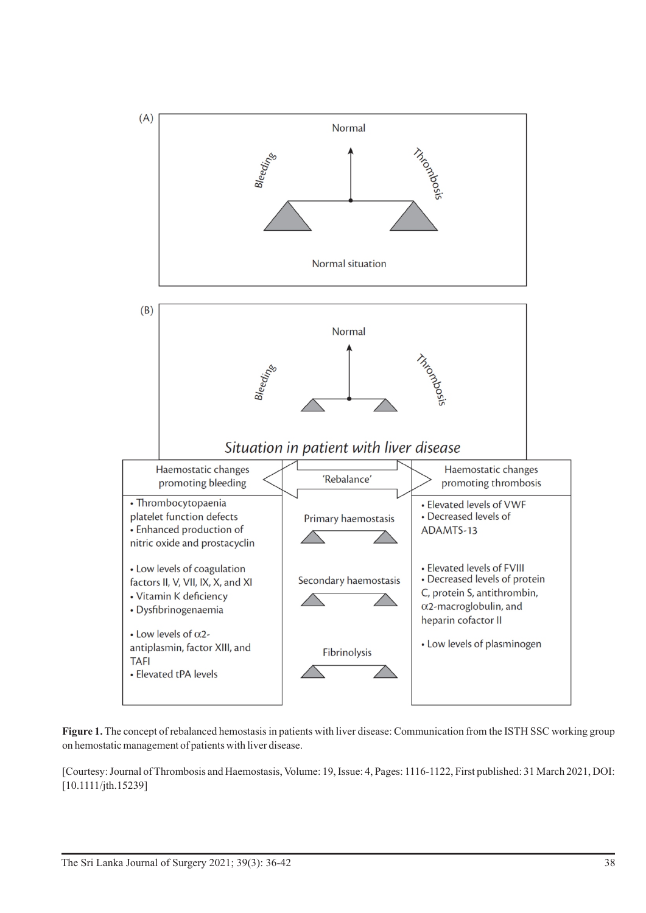

**Figure 1.** The concept of rebalanced hemostasis in patients with liver disease: Communication from the ISTH SSC working group on hemostatic management of patients with liver disease.

[Courtesy: Journal of Thrombosis and Haemostasis, Volume: 19, Issue: 4, Pages: 1116-1122, First published: 31 March 2021, DOI: [10.1111/jth.15239]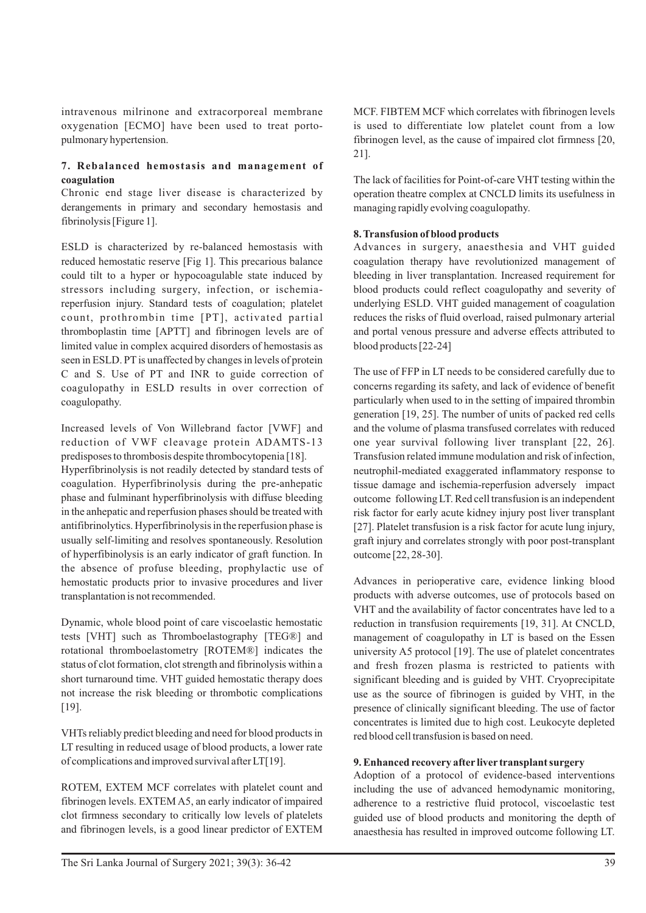intravenous milrinone and extracorporeal membrane oxygenation [ECMO] have been used to treat portopulmonary hypertension.

## **7. Rebalanced hemostasis and management of coagulation**

Chronic end stage liver disease is characterized by derangements in primary and secondary hemostasis and fibrinolysis [Figure 1].

ESLD is characterized by re-balanced hemostasis with reduced hemostatic reserve [Fig 1]. This precarious balance could tilt to a hyper or hypocoagulable state induced by stressors including surgery, infection, or ischemiareperfusion injury. Standard tests of coagulation; platelet count, prothrombin time [PT], activated partial thromboplastin time [APTT] and fibrinogen levels are of limited value in complex acquired disorders of hemostasis as seen in ESLD. PT is unaffected by changes in levels of protein C and S. Use of PT and INR to guide correction of coagulopathy in ESLD results in over correction of coagulopathy.

Increased levels of Von Willebrand factor [VWF] and reduction of VWF cleavage protein ADAMTS-13 predisposes to thrombosis despite thrombocytopenia [18].

Hyperfibrinolysis is not readily detected by standard tests of coagulation. Hyperfibrinolysis during the pre-anhepatic phase and fulminant hyperfibrinolysis with diffuse bleeding in the anhepatic and reperfusion phases should be treated with antifibrinolytics. Hyperfibrinolysis in the reperfusion phase is usually self-limiting and resolves spontaneously. Resolution of hyperfibinolysis is an early indicator of graft function. In the absence of profuse bleeding, prophylactic use of hemostatic products prior to invasive procedures and liver transplantation is not recommended.

Dynamic, whole blood point of care viscoelastic hemostatic tests [VHT] such as Thromboelastography [TEG®] and rotational thromboelastometry [ROTEM®] indicates the status of clot formation, clot strength and fibrinolysis within a short turnaround time. VHT guided hemostatic therapy does not increase the risk bleeding or thrombotic complications [19].

VHTs reliably predict bleeding and need for blood products in LT resulting in reduced usage of blood products, a lower rate of complications and improved survival after LT[19].

ROTEM, EXTEM MCF correlates with platelet count and fibrinogen levels. EXTEM A5, an early indicator of impaired clot firmness secondary to critically low levels of platelets and fibrinogen levels, is a good linear predictor of EXTEM

MCF. FIBTEM MCF which correlates with fibrinogen levels is used to differentiate low platelet count from a low fibrinogen level, as the cause of impaired clot firmness [20, 21].

The lack of facilities for Point-of-care VHT testing within the operation theatre complex at CNCLD limits its usefulness in managing rapidly evolving coagulopathy.

## **8. Transfusion of blood products**

Advances in surgery, anaesthesia and VHT guided coagulation therapy have revolutionized management of bleeding in liver transplantation. Increased requirement for blood products could reflect coagulopathy and severity of underlying ESLD. VHT guided management of coagulation reduces the risks of fluid overload, raised pulmonary arterial and portal venous pressure and adverse effects attributed to blood products [22-24]

The use of FFP in LT needs to be considered carefully due to concerns regarding its safety, and lack of evidence of benefit particularly when used to in the setting of impaired thrombin generation [19, 25]. The number of units of packed red cells and the volume of plasma transfused correlates with reduced one year survival following liver transplant [22, 26]. Transfusion related immune modulation and risk of infection, neutrophil-mediated exaggerated inflammatory response to tissue damage and ischemia-reperfusion adversely impact outcome following LT. Red cell transfusion is an independent risk factor for early acute kidney injury post liver transplant [27]. Platelet transfusion is a risk factor for acute lung injury, graft injury and correlates strongly with poor post-transplant outcome [22, 28-30].

Advances in perioperative care, evidence linking blood products with adverse outcomes, use of protocols based on VHT and the availability of factor concentrates have led to a reduction in transfusion requirements [19, 31]. At CNCLD, management of coagulopathy in LT is based on the Essen university A5 protocol [19]. The use of platelet concentrates and fresh frozen plasma is restricted to patients with significant bleeding and is guided by VHT. Cryoprecipitate use as the source of fibrinogen is guided by VHT, in the presence of clinically significant bleeding. The use of factor concentrates is limited due to high cost. Leukocyte depleted red blood cell transfusion is based on need.

## **9. Enhanced recovery after liver transplant surgery**

Adoption of a protocol of evidence-based interventions including the use of advanced hemodynamic monitoring, adherence to a restrictive fluid protocol, viscoelastic test guided use of blood products and monitoring the depth of anaesthesia has resulted in improved outcome following LT.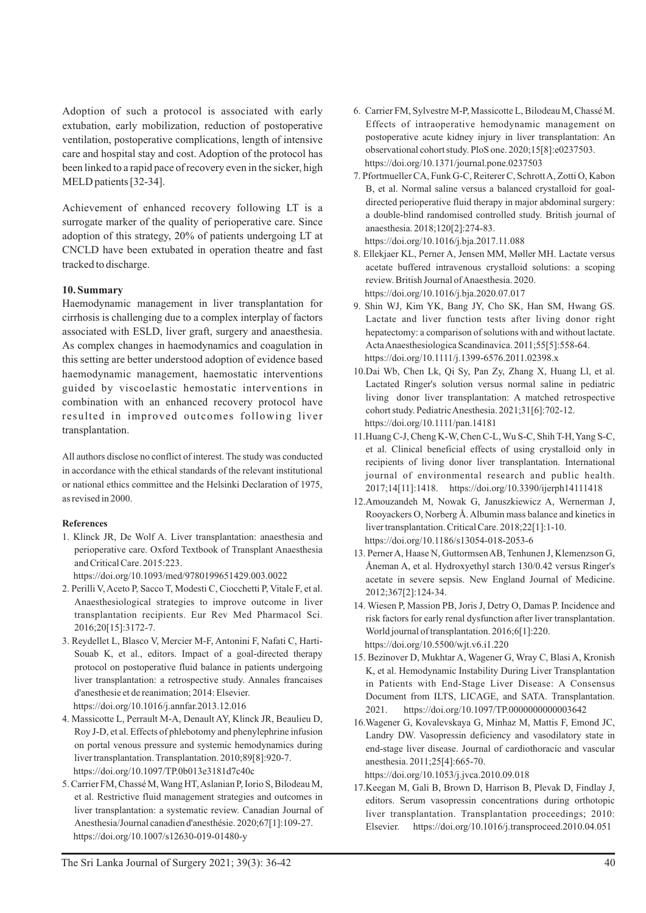Adoption of such a protocol is associated with early extubation, early mobilization, reduction of postoperative ventilation, postoperative complications, length of intensive care and hospital stay and cost. Adoption of the protocol has been linked to a rapid pace of recovery even in the sicker, high MELD patients [32-34].

Achievement of enhanced recovery following LT is a surrogate marker of the quality of perioperative care. Since adoption of this strategy, 20% of patients undergoing LT at CNCLD have been extubated in operation theatre and fast tracked to discharge.

#### **10. Summary**

Haemodynamic management in liver transplantation for cirrhosis is challenging due to a complex interplay of factors associated with ESLD, liver graft, surgery and anaesthesia. As complex changes in haemodynamics and coagulation in this setting are better understood adoption of evidence based haemodynamic management, haemostatic interventions guided by viscoelastic hemostatic interventions in combination with an enhanced recovery protocol have resulted in improved outcomes following liver transplantation.

All authors disclose no conflict of interest. The study was conducted in accordance with the ethical standards of the relevant institutional or national ethics committee and the Helsinki Declaration of 1975, as revised in 2000.

#### **References**

1. Klinck JR, De Wolf A. Liver transplantation: anaesthesia and perioperative care. Oxford Textbook of Transplant Anaesthesia and Critical Care. 2015:223.

https://doi.org/10.1093/med/9780199651429.003.0022

- 2. Perilli V, Aceto P, Sacco T, Modesti C, Ciocchetti P, Vitale F, et al. Anaesthesiological strategies to improve outcome in liver transplantation recipients. Eur Rev Med Pharmacol Sci. 2016;20[15]:3172-7.
- 3. Reydellet L, Blasco V, Mercier M-F, Antonini F, Nafati C, Harti-Souab K, et al., editors. Impact of a goal-directed therapy protocol on postoperative fluid balance in patients undergoing liver transplantation: a retrospective study. Annales francaises d'anesthesie et de reanimation; 2014: Elsevier. https://doi.org/10.1016/j.annfar.2013.12.016
- 4. Massicotte L, Perrault M-A, Denault AY, Klinck JR, Beaulieu D, Roy J-D, et al. Effects of phlebotomy and phenylephrine infusion on portal venous pressure and systemic hemodynamics during liver transplantation. Transplantation. 2010;89[8]:920-7. https://doi.org/10.1097/TP.0b013e3181d7c40c
- 5. Carrier FM, Chassé M, Wang HT, Aslanian P, Iorio S, Bilodeau M, et al. Restrictive fluid management strategies and outcomes in liver transplantation: a systematic review. Canadian Journal of Anesthesia/Journal canadien d'anesthésie. 2020;67[1]:109-27. https://doi.org/10.1007/s12630-019-01480-y
- 6. Carrier FM, Sylvestre M-P, Massicotte L, Bilodeau M, Chassé M. Effects of intraoperative hemodynamic management on postoperative acute kidney injury in liver transplantation: An observational cohort study. PloS one. 2020;15[8]:e0237503. https://doi.org/10.1371/journal.pone.0237503
- 7. Pfortmueller CA, Funk G-C, Reiterer C, Schrott A, Zotti O, Kabon B, et al. Normal saline versus a balanced crystalloid for goaldirected perioperative fluid therapy in major abdominal surgery: a double-blind randomised controlled study. British journal of anaesthesia. 2018;120[2]:274-83. https://doi.org/10.1016/j.bja.2017.11.088
- 8. Ellekjaer KL, Perner A, Jensen MM, Møller MH. Lactate versus acetate buffered intravenous crystalloid solutions: a scoping review. British Journal of Anaesthesia. 2020.
- https://doi.org/10.1016/j.bja.2020.07.017 9. Shin WJ, Kim YK, Bang JY, Cho SK, Han SM, Hwang GS. Lactate and liver function tests after living donor right hepatectomy: a comparison of solutions with and without lactate. Acta Anaesthesiologica Scandinavica. 2011;55[5]:558-64. https://doi.org/10.1111/j.1399-6576.2011.02398.x
- 10.Dai Wb, Chen Lk, Qi Sy, Pan Zy, Zhang X, Huang Ll, et al. Lactated Ringer's solution versus normal saline in pediatric living donor liver transplantation: A matched retrospective cohort study. Pediatric Anesthesia. 2021;31[6]:702-12. https://doi.org/10.1111/pan.14181
- 11.Huang C-J, Cheng K-W, Chen C-L, Wu S-C, Shih T-H, Yang S-C, et al. Clinical beneficial effects of using crystalloid only in recipients of living donor liver transplantation. International journal of environmental research and public health. 2017;14[11]:1418. https://doi.org/10.3390/ijerph14111418
- 12.Amouzandeh M, Nowak G, Januszkiewicz A, Wernerman J, Rooyackers O, Norberg Å. Albumin mass balance and kinetics in liver transplantation. Critical Care. 2018;22[1]:1-10. https://doi.org/10.1186/s13054-018-2053-6
- 13. Perner A, Haase N, Guttormsen AB, Tenhunen J, Klemenzson G, Åneman A, et al. Hydroxyethyl starch 130/0.42 versus Ringer's acetate in severe sepsis. New England Journal of Medicine. 2012;367[2]:124-34.
- 14. Wiesen P, Massion PB, Joris J, Detry O, Damas P. Incidence and risk factors for early renal dysfunction after liver transplantation. World journal of transplantation. 2016;6[1]:220. https://doi.org/10.5500/wjt.v6.i1.220
- 15. Bezinover D, Mukhtar A, Wagener G, Wray C, Blasi A, Kronish K, et al. Hemodynamic Instability During Liver Transplantation in Patients with End-Stage Liver Disease: A Consensus Document from ILTS, LICAGE, and SATA. Transplantation. 2021. https://doi.org/10.1097/TP.0000000000003642
- 16.Wagener G, Kovalevskaya G, Minhaz M, Mattis F, Emond JC, Landry DW. Vasopressin deficiency and vasodilatory state in end-stage liver disease. Journal of cardiothoracic and vascular anesthesia. 2011;25[4]:665-70. https://doi.org/10.1053/j.jvca.2010.09.018

liver transplantation. Transplantation proceedings; 2010: Elsevier. https://doi.org/10.1016/j.transproceed.2010.04.051

17.Keegan M, Gali B, Brown D, Harrison B, Plevak D, Findlay J, editors. Serum vasopressin concentrations during orthotopic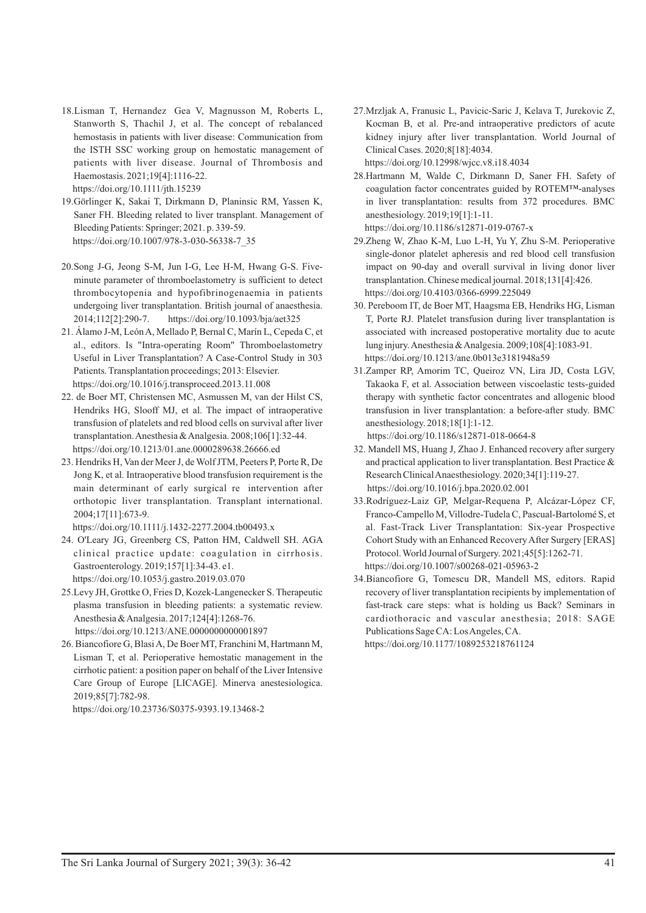- 18.Lisman T, Hernandez Gea V, Magnusson M, Roberts L, Stanworth S, Thachil J, et al. The concept of rebalanced hemostasis in patients with liver disease: Communication from the ISTH SSC working group on hemostatic management of patients with liver disease. Journal of Thrombosis and Haemostasis. 2021;19[4]:1116-22. https://doi.org/10.1111/jth.15239
- 19.Görlinger K, Sakai T, Dirkmann D, Planinsic RM, Yassen K, Saner FH. Bleeding related to liver transplant. Management of Bleeding Patients: Springer; 2021. p. 339-59. https://doi.org/10.1007/978-3-030-56338-7\_35
- 20.Song J-G, Jeong S-M, Jun I-G, Lee H-M, Hwang G-S. Fiveminute parameter of thromboelastometry is sufficient to detect thrombocytopenia and hypofibrinogenaemia in patients undergoing liver transplantation. British journal of anaesthesia. 2014;112[2]:290-7. https://doi.org/10.1093/bja/aet325
- 21. Álamo J-M, León A, Mellado P, Bernal C, Marín L, Cepeda C, et al., editors. Is "Intra-operating Room" Thromboelastometry Useful in Liver Transplantation? A Case-Control Study in 303 Patients. Transplantation proceedings; 2013: Elsevier. https://doi.org/10.1016/j.transproceed.2013.11.008
- 22. de Boer MT, Christensen MC, Asmussen M, van der Hilst CS, Hendriks HG, Slooff MJ, et al. The impact of intraoperative transfusion of platelets and red blood cells on survival after liver transplantation. Anesthesia & Analgesia. 2008;106[1]:32-44. https://doi.org/10.1213/01.ane.0000289638.26666.ed
- 23. Hendriks H, Van der Meer J, de Wolf JTM, Peeters P, Porte R, De Jong K, et al. Intraoperative blood transfusion requirement is the main determinant of early surgical re intervention after orthotopic liver transplantation. Transplant international. 2004;17[11]:673-9.

https://doi.org/10.1111/j.1432-2277.2004.tb00493.x

- 24. O'Leary JG, Greenberg CS, Patton HM, Caldwell SH. AGA clinical practice update: coagulation in cirrhosis. Gastroenterology. 2019;157[1]:34-43. e1. https://doi.org/10.1053/j.gastro.2019.03.070
- 25.Levy JH, Grottke O, Fries D, Kozek-Langenecker S. Therapeutic plasma transfusion in bleeding patients: a systematic review. Anesthesia & Analgesia. 2017;124[4]:1268-76. https://doi.org/10.1213/ANE.0000000000001897
- 26. Biancofiore G, Blasi A, De Boer MT, Franchini M, Hartmann M, Lisman T, et al. Perioperative hemostatic management in the cirrhotic patient: a position paper on behalf of the Liver Intensive Care Group of Europe [LICAGE]. Minerva anestesiologica. 2019;85[7]:782-98.

https://doi.org/10.23736/S0375-9393.19.13468-2

- 27.Mrzljak A, Franusic L, Pavicic-Saric J, Kelava T, Jurekovic Z, Kocman B, et al. Pre-and intraoperative predictors of acute kidney injury after liver transplantation. World Journal of Clinical Cases. 2020;8[18]:4034. https://doi.org/10.12998/wjcc.v8.i18.4034
- 28.Hartmann M, Walde C, Dirkmann D, Saner FH. Safety of coagulation factor concentrates guided by ROTEM™-analyses in liver transplantation: results from 372 procedures. BMC anesthesiology. 2019;19[1]:1-11.

https://doi.org/10.1186/s12871-019-0767-x

- 29.Zheng W, Zhao K-M, Luo L-H, Yu Y, Zhu S-M. Perioperative single-donor platelet apheresis and red blood cell transfusion impact on 90-day and overall survival in living donor liver transplantation. Chinese medical journal. 2018;131[4]:426. https://doi.org/10.4103/0366-6999.225049
- 30. Pereboom IT, de Boer MT, Haagsma EB, Hendriks HG, Lisman T, Porte RJ. Platelet transfusion during liver transplantation is associated with increased postoperative mortality due to acute lung injury. Anesthesia & Analgesia. 2009;108[4]:1083-91. https://doi.org/10.1213/ane.0b013e3181948a59
- 31.Zamper RP, Amorim TC, Queiroz VN, Lira JD, Costa LGV, Takaoka F, et al. Association between viscoelastic tests-guided therapy with synthetic factor concentrates and allogenic blood transfusion in liver transplantation: a before-after study. BMC anesthesiology. 2018;18[1]:1-12.

https://doi.org/10.1186/s12871-018-0664-8

- 32. Mandell MS, Huang J, Zhao J. Enhanced recovery after surgery and practical application to liver transplantation. Best Practice & Research Clinical Anaesthesiology. 2020;34[1]:119-27. https://doi.org/10.1016/j.bpa.2020.02.001
- 33.Rodríguez-Laiz GP, Melgar-Requena P, Alcázar-López CF, Franco-Campello M, Villodre-Tudela C, Pascual-Bartolomé S, et al. Fast-Track Liver Transplantation: Six-year Prospective Cohort Study with an Enhanced Recovery After Surgery [ERAS] Protocol. World Journal of Surgery. 2021;45[5]:1262-71. https://doi.org/10.1007/s00268-021-05963-2
- 34.Biancofiore G, Tomescu DR, Mandell MS, editors. Rapid recovery of liver transplantation recipients by implementation of fast-track care steps: what is holding us Back? Seminars in cardiothoracic and vascular anesthesia; 2018: SAGE Publications Sage CA: Los Angeles, CA. https://doi.org/10.1177/1089253218761124